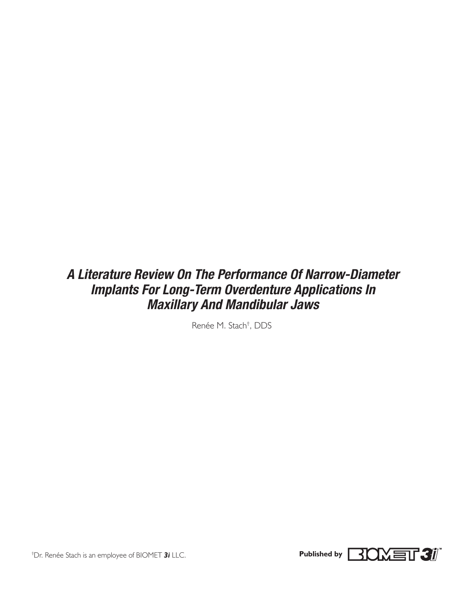# *A Literature Review On The Performance Of Narrow-Diameter Implants For Long-Term Overdenture Applications In Maxillary And Mandibular Jaws*

Renée M. Stach† , DDS



† Dr. Renée Stach is an employee of BIOMET *3i* LLC. **Published by**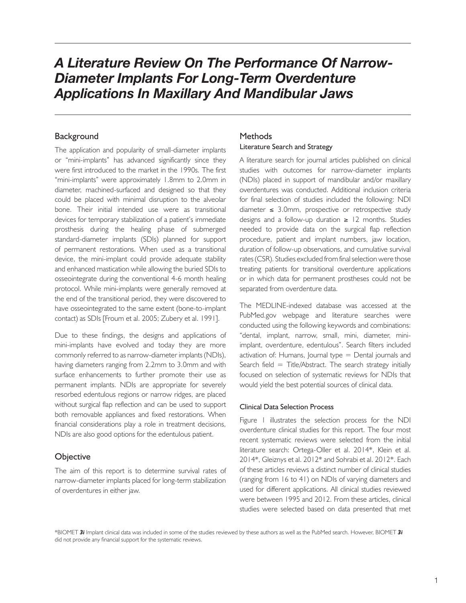# *A Literature Review On The Performance Of Narrow-Diameter Implants For Long-Term Overdenture Applications In Maxillary And Mandibular Jaws*

# **Background**

The application and popularity of small-diameter implants or "mini-implants" has advanced significantly since they were first introduced to the market in the 1990s. The first "mini-implants" were approximately 1.8mm to 2.0mm in diameter, machined-surfaced and designed so that they could be placed with minimal disruption to the alveolar bone. Their initial intended use were as transitional devices for temporary stabilization of a patient's immediate prosthesis during the healing phase of submerged standard-diameter implants (SDIs) planned for support of permanent restorations. When used as a transitional device, the mini-implant could provide adequate stability and enhanced mastication while allowing the buried SDIs to osseointegrate during the conventional 4-6 month healing protocol. While mini-implants were generally removed at the end of the transitional period, they were discovered to have osseointegrated to the same extent (bone-to-implant contact) as SDIs [Froum et al. 2005; Zubery et al. 1991].

Due to these findings, the designs and applications of mini-implants have evolved and today they are more commonly referred to as narrow-diameter implants (NDIs), having diameters ranging from 2.2mm to 3.0mm and with surface enhancements to further promote their use as permanent implants. NDIs are appropriate for severely resorbed edentulous regions or narrow ridges, are placed without surgical flap reflection and can be used to support both removable appliances and fixed restorations. When financial considerations play a role in treatment decisions, NDIs are also good options for the edentulous patient.

## **Objective**

The aim of this report is to determine survival rates of narrow-diameter implants placed for long-term stabilization of overdentures in either jaw.

# Methods

### Literature Search and Strategy

A literature search for journal articles published on clinical studies with outcomes for narrow-diameter implants (NDIs) placed in support of mandibular and/or maxillary overdentures was conducted. Additional inclusion criteria for final selection of studies included the following: NDI diameter ≤ 3.0mm, prospective or retrospective study designs and a follow-up duration  $≥$  12 months. Studies needed to provide data on the surgical flap reflection procedure, patient and implant numbers, jaw location, duration of follow-up observations, and cumulative survival rates (CSR). Studies excluded from final selection were those treating patients for transitional overdenture applications or in which data for permanent prostheses could not be separated from overdenture data.

The MEDLINE-indexed database was accessed at the PubMed.gov webpage and literature searches were conducted using the following keywords and combinations: "dental, implant, narrow, small, mini, diameter, miniimplant, overdenture, edentulous". Search filters included activation of: Humans, Journal type = Dental journals and Search field  $=$  Title/Abstract. The search strategy initially focused on selection of systematic reviews for NDIs that would yield the best potential sources of clinical data.

#### Clinical Data Selection Process

Figure 1 illustrates the selection process for the NDI overdenture clinical studies for this report. The four most recent systematic reviews were selected from the initial literature search: Ortega-Oller et al. 2014\*, Klein et al. 2014\*, Gleiznys et al. 2012\* and Sohrabi et al. 2012\*. Each of these articles reviews a distinct number of clinical studies (ranging from 16 to 41) on NDIs of varying diameters and used for different applications. All clinical studies reviewed were between 1995 and 2012. From these articles, clinical studies were selected based on data presented that met

\*BIOMET *3i* Implant clinical data was included in some of the studies reviewed by these authors as well as the PubMed search. However, BIOMET *3i* did not provide any financial support for the systematic reviews.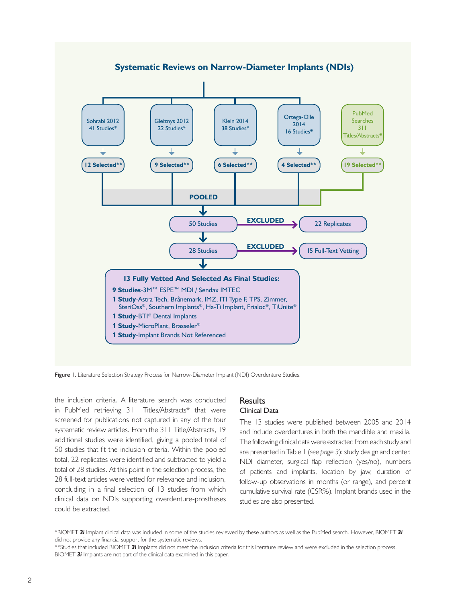

Figure 1. Literature Selection Strategy Process for Narrow-Diameter Implant (NDI) Overdenture Studies.

the inclusion criteria. A literature search was conducted in PubMed retrieving 311 Titles/Abstracts\* that were screened for publications not captured in any of the four systematic review articles. From the 311 Title/Abstracts, 19 additional studies were identified, giving a pooled total of 50 studies that fit the inclusion criteria. Within the pooled total, 22 replicates were identified and subtracted to yield a total of 28 studies. At this point in the selection process, the 28 full-text articles were vetted for relevance and inclusion, concluding in a final selection of 13 studies from which clinical data on NDIs supporting overdenture-prostheses could be extracted.

#### **Results** Clinical Data

The 13 studies were published between 2005 and 2014 and include overdentures in both the mandible and maxilla. The following clinical data were extracted from each study and are presented in Table 1 (*see page 3*): study design and center, NDI diameter, surgical flap reflection (yes/no), numbers of patients and implants, location by jaw, duration of follow-up observations in months (or range), and percent cumulative survival rate (CSR%). Implant brands used in the studies are also presented.

\*BIOMET *3i* Implant clinical data was included in some of the studies reviewed by these authors as well as the PubMed search. However, BIOMET *3i* did not provide any financial support for the systematic reviews.

\*\*Studies that included BIOMET *3i* Implants did not meet the inclusion criteria for this literature review and were excluded in the selection process. BIOMET *3i* Implants are not part of the clinical data examined in this paper.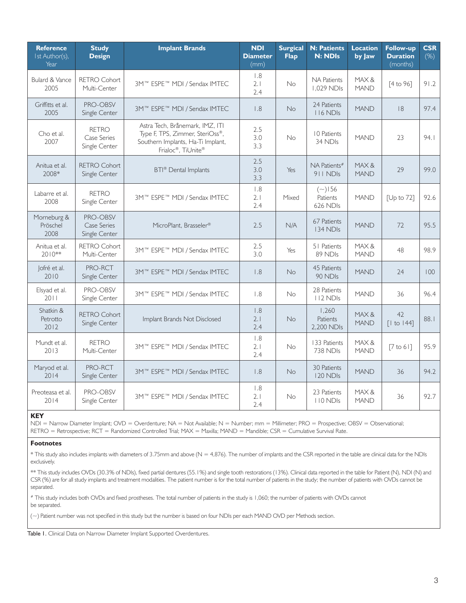| <b>Reference</b><br>Ist Author(s),<br>Year | <b>Study</b><br><b>Design</b>                | <b>Implant Brands</b>                                                                                                         | <b>NDI</b><br><b>Diameter</b><br>(mm) | <b>Surgical</b><br><b>Flap</b> | <b>N: Patients</b><br><b>N: NDIs</b>  | <b>Location</b><br>by Jaw | <b>Follow-up</b><br><b>Duration</b><br>(months) | <b>CSR</b><br>(%) |
|--------------------------------------------|----------------------------------------------|-------------------------------------------------------------------------------------------------------------------------------|---------------------------------------|--------------------------------|---------------------------------------|---------------------------|-------------------------------------------------|-------------------|
| <b>Bulard &amp; Vance</b><br>2005          | <b>RETRO Cohort</b><br>Multi-Center          | 3M™ ESPE™ MDI / Sendax IMTEC                                                                                                  | 1.8<br>2.1<br>2.4                     | No                             | <b>NA Patients</b><br>1.029 NDIs      | MAX&<br><b>MAND</b>       | [4 to 96]                                       | 91.2              |
| Griffitts et al.<br>2005                   | PRO-OBSV<br>Single Center                    | 3M™ ESPE™ MDI / Sendax IMTEC                                                                                                  | 1.8                                   | No                             | 24 Patients<br>116 NDIs               | <b>MAND</b>               | 8                                               | 97.4              |
| Cho et al.<br>2007                         | <b>RETRO</b><br>Case Series<br>Single Center | Astra Tech, Brånemark, IMZ, ITI<br>Type F, TPS, Zimmer, SteriOss®,<br>Southern Implants, Ha-Ti Implant,<br>Frialoc®, TiUnite® | 2.5<br>3.0<br>3.3                     | No                             | 10 Patients<br>34 NDIs                | <b>MAND</b>               | 23                                              | 94.1              |
| Anitua et al.<br>2008*                     | <b>RETRO Cohort</b><br>Single Center         | BTI® Dental Implants                                                                                                          | 2.5<br>3.0<br>3.3                     | Yes                            | NA Patients#<br>911 NDIS              | MAX&<br><b>MAND</b>       | 29                                              | 99.0              |
| Labarre et al.<br>2008                     | <b>RETRO</b><br>Single Center                | 3M™ ESPE™ MDI / Sendax IMTEC                                                                                                  | 1.8<br>2.1<br>2.4                     | Mixed                          | $({\sim})156$<br>Patients<br>626 NDIs | <b>MAND</b>               | [Up to 72]                                      | 92.6              |
| Morneburg &<br>Pröschel<br>2008            | PRO-OBSV<br>Case Series<br>Single Center     | MicroPlant, Brasseler®                                                                                                        | 2.5                                   | N/A                            | 67 Patients<br>134 NDIs               | <b>MAND</b>               | 72                                              | 95.5              |
| Anitua et al.<br>$2010**$                  | <b>RETRO Cohort</b><br>Multi-Center          | 3M™ ESPE™ MDI / Sendax IMTEC                                                                                                  | 2.5<br>3.0                            | Yes                            | 51 Patients<br>89 NDIs                | MAX&<br><b>MAND</b>       | 48                                              | 98.9              |
| Jofré et al.<br>2010                       | PRO-RCT<br>Single Center                     | 3M™ ESPE™ MDI / Sendax IMTEC                                                                                                  | 1.8                                   | <b>No</b>                      | 45 Patients<br>90 NDIs                | <b>MAND</b>               | 24                                              | 100               |
| Elsyad et al.<br>2011                      | PRO-OBSV<br>Single Center                    | 3M™ ESPE™ MDI / Sendax IMTEC                                                                                                  | 1.8                                   | <b>No</b>                      | 28 Patients<br>112 NDIs               | <b>MAND</b>               | 36                                              | 96.4              |
| Shatkin &<br>Petrotto<br>2012              | <b>RETRO Cohort</b><br>Single Center         | Implant Brands Not Disclosed                                                                                                  | 1.8<br>2.1<br>2.4                     | <b>No</b>                      | 1,260<br>Patients<br>2.200 NDIs       | MAX&<br><b>MAND</b>       | 42<br>$\lceil$ to 144]                          | 88.1              |
| Mundt et al.<br>2013                       | <b>RETRO</b><br>Multi-Center                 | 3M™ ESPE™ MDI / Sendax IMTEC                                                                                                  | 1.8<br>2.1<br>2.4                     | <b>No</b>                      | 133 Patients<br>738 NDIs              | MAX&<br><b>MAND</b>       | [7 to 6]                                        | 95.9              |
| Maryod et al.<br>2014                      | PRO-RCT<br>Single Center                     | 3M™ ESPE™ MDI / Sendax IMTEC                                                                                                  | 1.8                                   | No                             | 30 Patients<br>120 NDIs               | <b>MAND</b>               | 36                                              | 94.2              |
| Preoteasa et al.<br>2014                   | PRO-OBSV<br>Single Center                    | 3M™ ESPE™ MDI / Sendax IMTEC                                                                                                  | 1.8<br>2.1<br>2.4                     | No                             | 23 Patients<br>110 NDIs               | MAX&<br><b>MAND</b>       | 36                                              | 92.7              |

#### **KEY**

NDI = Narrow Diameter Implant; OVD = Overdenture; NA = Not Available; N = Number; mm = Millimeter; PRO = Prospective; OBSV = Observational; RETRO = Retrospective; RCT = Randomized Controlled Trial; MAX = Maxilla; MAND = Mandible; CSR = Cumulative Survival Rate.

#### **Footnotes**

\* This study also includes implants with diameters of 3.75mm and above (N = 4,876). The number of implants and the CSR reported in the table are clinical data for the NDIs exclusively.

\*\* This study includes OVDs (30.3% of NDIs), fixed partial dentures (55.1%) and single tooth restorations (13%). Clinical data reported in the table for Patient (N), NDI (N) and CSR (%) are for all study implants and treatment modalities. The patient number is for the total number of patients in the study; the number of patients with OVDs cannot be separated.

# This study includes both OVDs and fixed prostheses. The total number of patients in the study is 1,060; the number of patients with OVDs cannot be separated.

(~) Patient number was not specified in this study but the number is based on four NDIs per each MAND OVD per Methods section.

Table I. Clinical Data on Narrow Diameter Implant Supported Overdentures.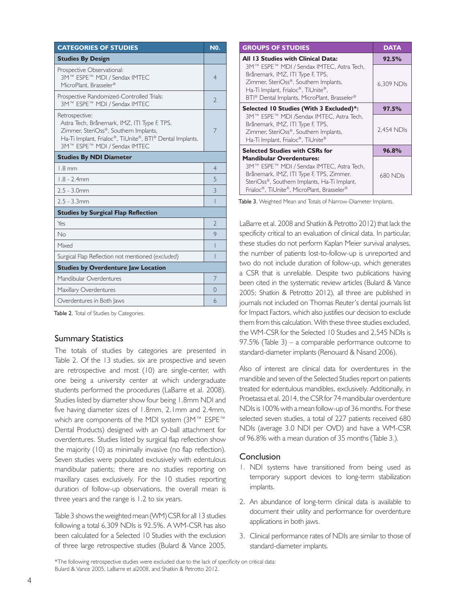| <b>CATEGORIES OF STUDIES</b>                                                                                                                                                                        |   |  |
|-----------------------------------------------------------------------------------------------------------------------------------------------------------------------------------------------------|---|--|
| <b>Studies By Design</b>                                                                                                                                                                            |   |  |
| Prospective Observational:<br>3M™ ESPE™ MDI / Sendax IMTEC<br>MicroPlant, Brasseler®                                                                                                                |   |  |
| Prospective Randomized-Controlled Trials:<br>3M™ ESPE™ MDI / Sendax IMTEC                                                                                                                           |   |  |
| Retrospective:<br>Astra Tech, Brånemark, IMZ, ITI Type F, TPS,<br>Zimmer, SteriOss®, Southern Implants,<br>Ha-Ti Implant, Frialoc®, TiUnite®, BTI® Dental Implants,<br>3M™ ESPE™ MDI / Sendax IMTEC |   |  |
| <b>Studies By NDI Diameter</b>                                                                                                                                                                      |   |  |
| $1.8 \text{ mm}$                                                                                                                                                                                    |   |  |
| $1.8 - 2.4$ mm                                                                                                                                                                                      | 5 |  |
| $2.5 - 3.0$ mm                                                                                                                                                                                      |   |  |
| $2.5 - 3.3$ mm                                                                                                                                                                                      | I |  |
| <b>Studies by Surgical Flap Reflection</b>                                                                                                                                                          |   |  |
| Yes                                                                                                                                                                                                 |   |  |
| No                                                                                                                                                                                                  |   |  |
| Mixed                                                                                                                                                                                               |   |  |
| Surgical Flap Reflection not mentioned (excluded)                                                                                                                                                   |   |  |
| <b>Studies by Overdenture Jaw Location</b>                                                                                                                                                          |   |  |
| Mandibular Overdentures                                                                                                                                                                             |   |  |
| Maxillary Overdentures                                                                                                                                                                              |   |  |
| Overdentures in Both Jaws                                                                                                                                                                           |   |  |

Table 2. Total of Studies by Categories.

# Summary Statistics

The totals of studies by categories are presented in Table 2. Of the 13 studies, six are prospective and seven are retrospective and most (10) are single-center, with one being a university center at which undergraduate students performed the procedures (LaBarre et al. 2008). Studies listed by diameter show four being 1.8mm NDI and five having diameter sizes of 1.8mm, 2.1mm and 2.4mm, which are components of the MDI system (3M™ ESPE™ Dental Products) designed with an O-ball attachment for overdentures. Studies listed by surgical flap reflection show the majority (10) as minimally invasive (no flap reflection). Seven studies were populated exclusively with edentulous mandibular patients; there are no studies reporting on maxillary cases exclusively. For the 10 studies reporting duration of follow-up observations, the overall mean is three years and the range is 1.2 to six years.

Table 3 shows the weighted mean (WM) CSR for all 13 studies following a total 6,309 NDIs is 92.5%. A WM-CSR has also been calculated for a Selected 10 Studies with the exclusion of three large retrospective studies (Bulard & Vance 2005,

| <b>GROUPS OF STUDIES</b>                                                                                                                                                                                               | <b>DATA</b> |  |
|------------------------------------------------------------------------------------------------------------------------------------------------------------------------------------------------------------------------|-------------|--|
| All 13 Studies with Clinical Data:                                                                                                                                                                                     | 92.5%       |  |
| 3M™ ESPE™ MDI / Sendax IMTEC, Astra Tech,<br>Brånemark, IMZ, ITI Type F, TPS,<br>Zimmer, SteriOss®, Southern Implants,<br>Ha-Ti Implant, Frialoc®, TiUnite®,<br>BTI® Dental Implants, MicroPlant, Brasseler®           | 6,309 NDIs  |  |
| Selected 10 Studies (With 3 Excluded)*:                                                                                                                                                                                | 97.5%       |  |
| 3M™ ESPE™ MDI /Sendax IMTEC, Astra Tech,<br>Brånemark, IMZ, ITI Type F, TPS,<br>Zimmer, SteriOss®, Southern Implants,<br>Ha-Ti Implant, Frialoc®, TiUnite®                                                             | 2,454 NDIs  |  |
| <b>Selected Studies with CSRs for</b>                                                                                                                                                                                  | 96.8%       |  |
| <b>Mandibular Overdentures:</b><br>3M™ ESPE™ MDI / Sendax IMTEC, Astra Tech,<br>Brånemark, IMZ, ITI Type F, TPS, Zimmer,<br>SteriOss®, Southern Implants, Ha-Ti Implant,<br>Frialoc®, TiUnite®, MicroPlant, Brasseler® | 680 NDIs    |  |

Table 3. Weighted Mean and Totals of Narrow-Diameter Implants.

LaBarre et al. 2008 and Shatkin & Petrotto 2012) that lack the specificity critical to an evaluation of clinical data. In particular, these studies do not perform Kaplan Meier survival analyses, the number of patients lost-to-follow-up is unreported and two do not include duration of follow-up, which generates a CSR that is unreliable. Despite two publications having been cited in the systematic review articles (Bulard & Vance 2005; Shatkin & Petrotto 2012), all three are published in journals not included on Thomas Reuter's dental journals list for Impact Factors, which also justifies our decision to exclude them from this calculation. With these three studies excluded, the WM-CSR for the Selected 10 Studies and 2,545 NDIs is 97.5% (Table 3) – a comparable performance outcome to standard-diameter implants (Renouard & Nisand 2006).

Also of interest are clinical data for overdentures in the mandible and seven of the Selected Studies report on patients treated for edentulous mandibles, exclusively. Additionally, in Proetassa et al. 2014, the CSR for 74 mandibular overdenture NDIs is 100% with a mean follow-up of 36 months. For these selected seven studies, a total of 227 patients received 680 NDIs (average 3.0 NDI per OVD) and have a WM-CSR of 96.8% with a mean duration of 35 months (Table 3.).

## **Conclusion**

- 1. NDI systems have transitioned from being used as temporary support devices to long-term stabilization implants.
- 2. An abundance of long-term clinical data is available to document their utility and performance for overdenture applications in both jaws.
- 3. Clinical performance rates of NDIs are similar to those of standard-diameter implants.

\*The following retrospective studies were excluded due to the lack of specificity on critical data: Bulard & Vance 2005, LaBarre et al2008, and Shatkin & Petrotto 2012.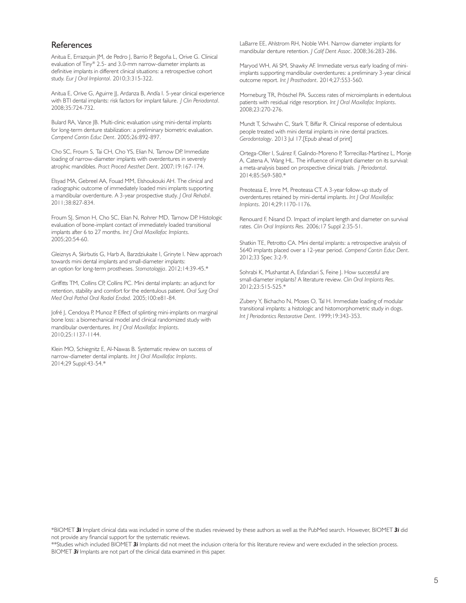# **References**

Anitua E, Errazquin JM, de Pedro J, Barrio P, Begoña L, Orive G. Clinical evaluation of Tiny® 2.5- and 3.0-mm narrow-diameter implants as definitive implants in different clinical situations: a retrospective cohort study. *Eur J Oral Implantol*. 2010;3:315-322.

Anitua E, Orive G, Aguirre JJ, Ardanza B, Andía I. 5-year clinical experience with BTI dental implants: risk factors for implant failure. *J Clin Periodontal*. 2008;35:724-732.

Bulard RA, Vance JB. Multi-clinic evaluation using mini-dental implants for long-term denture stabilization: a preliminary biometric evaluation. *Compend Contin Educ Dent*. 2005;26:892-897.

Cho SC, Froum S, Tai CH, Cho YS, Elian N, Tarnow DP. Immediate loading of narrow-diameter implants with overdentures in severely atrophic mandibles. *Pract Proced Aesthet Dent*. 2007;19:167-174.

Elsyad MA, Gebreel AA, Fouad MM, Elshoukouki AH. The clinical and radiographic outcome of immediately loaded mini implants supporting a mandibular overdenture. A 3-year prospective study. *J Oral Rehabil*. 2011;38:827-834.

Froum SJ, Simon H, Cho SC, Elian N, Rohrer MD, Tarnow DP. Histologic evaluation of bone-implant contact of immediately loaded transitional implants after 6 to 27 months. *Int J Oral Maxillofac Implants*. 2005;20:54-60.

Gleiznys A, Skirbutis G, Harb A, Barzdziukaite I, Grinyte I. New approach towards mini dental implants and small-diameter implants: an option for long-term prostheses. *Stomatologija*. 2012;14:39-45.\*

Griffitts TM, Collins CP, Collins PC. Mini dental implants: an adjunct for retention, stability and comfort for the edentulous patient. *Oral Surg Oral Med Oral Pathol Oral Radiol Endod*. 2005;100:e81-84.

Jofré J, Cendoya P, Munoz P. Effect of splinting mini-implants on marginal bone loss: a biomechanical model and clinical randomized study with mandibular overdentures. *Int J Oral Maxillofac Implants*. 2010;25:1137-1144.

Klein MO, Schiegnitz E, Al-Nawas B. Systematic review on success of narrow-diameter dental implants. *Int J Oral Maxillofac Implants*. 2014;29 Suppl:43-54.\*

LaBarre EE, Ahlstrom RH, Noble WH. Narrow diameter implants for mandibular denture retention. *J Calif Dent Assoc*. 2008;36:283-286.

Maryod WH, Ali SM, Shawky AF. Immediate versus early loading of miniimplants supporting mandibular overdentures: a preliminary 3-year clinical outcome report. *Int J Prosthodont*. 2014;27:553-560.

Morneburg TR, Pröschel PA. Success rates of microimplants in edentulous patients with residual ridge resorption. *Int J Oral Maxillofac Implants*. 2008;23:270-276.

Mundt T, Schwahn C, Stark T, Biffar R. Clinical response of edentulous people treated with mini dental implants in nine dental practices. *Gerodontology*. 2013 Jul 17.[Epub ahead of print]

Ortega-Oller I, Suárez F, Galindo-Moreno P, Torrecillas-Martínez L, Monje A, Catena A, Wang HL. The influence of implant diameter on its survival: a meta-analysis based on prospective clinical trials. *J Periodontal*. 2014;85:569-580.\*

Preoteasa E, Imre M, Preoteasa CT. A 3-year follow-up study of overdentures retained by mini-dental implants. *Int J Oral Maxillofac Implants*. 2014;29:1170-1176.

Renouard F, Nisand D. Impact of implant length and diameter on survival rates. *Clin Oral Implants Res.* 2006;17 Suppl 2:35-51.

Shatkin TE, Petrotto CA. Mini dental implants: a retrospective analysis of 5640 implants placed over a 12-year period. *Compend Contin Educ Dent*. 2012;33 Spec 3:2-9.

Sohrabi K, Mushantat A, Esfandiari S, Feine J. How successful are small-diameter implants? A literature review. *Clin Oral Implants Res*. 2012;23:515-525.\*

Zubery Y, Bichacho N, Moses O, Tal H. Immediate loading of modular transitional implants: a histologic and histomorphometric study in dogs. *Int J Periodontics Restorative Dent*. 1999;19:343-353.

\*BIOMET *3i* Implant clinical data was included in some of the studies reviewed by these authors as well as the PubMed search. However, BIOMET *3i* did not provide any financial support for the systematic reviews.

\*\*Studies which included BIOMET *3i* Implants did not meet the inclusion criteria for this literature review and were excluded in the selection process. BIOMET *3i* Implants are not part of the clinical data examined in this paper.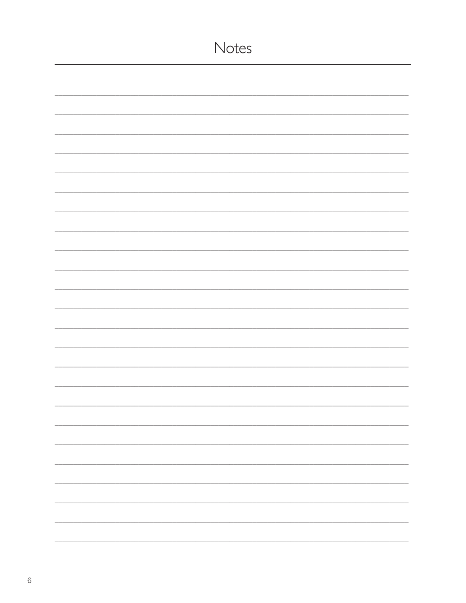| Notes                    |
|--------------------------|
|                          |
|                          |
|                          |
|                          |
|                          |
|                          |
|                          |
|                          |
|                          |
|                          |
|                          |
|                          |
|                          |
|                          |
|                          |
| $\overline{\phantom{0}}$ |
|                          |
|                          |
|                          |
|                          |
|                          |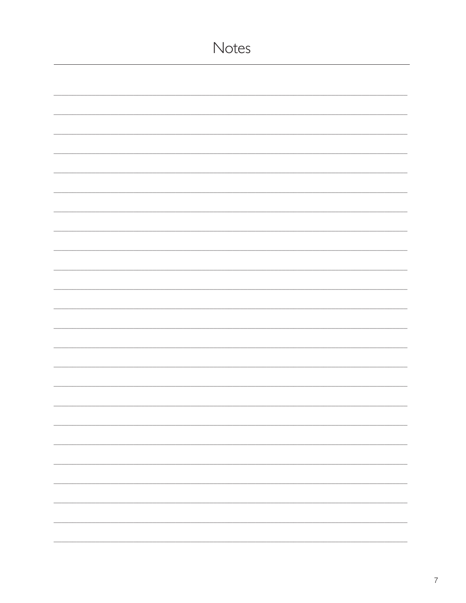| Notes |
|-------|
|       |
|       |
|       |
|       |
|       |
|       |
|       |
|       |
|       |
|       |
|       |
|       |
|       |
|       |
|       |
|       |
|       |
|       |
|       |
|       |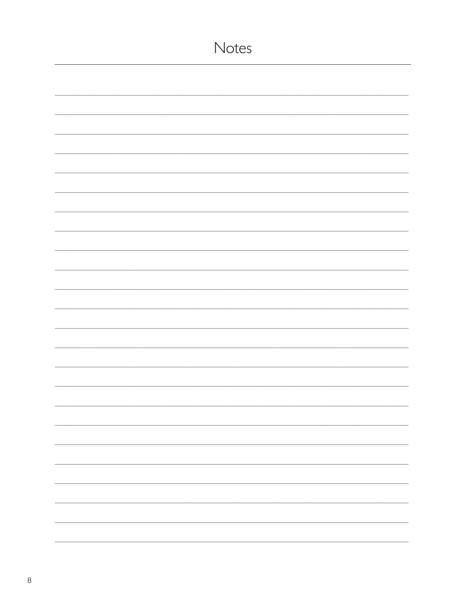| Notes                    |
|--------------------------|
|                          |
|                          |
|                          |
|                          |
|                          |
|                          |
|                          |
|                          |
|                          |
|                          |
|                          |
|                          |
|                          |
|                          |
|                          |
| $\overline{\phantom{0}}$ |
|                          |
|                          |
|                          |
|                          |